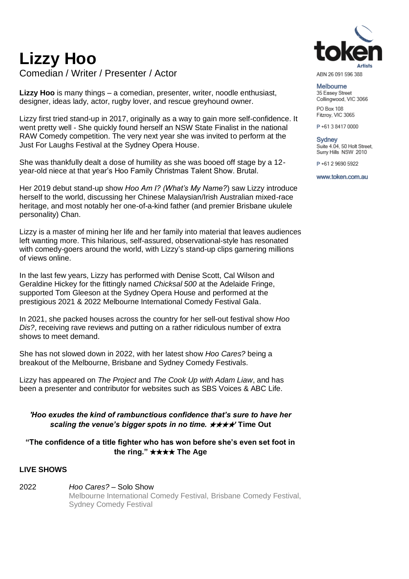# **Lizzy Hoo**

Comedian / Writer / Presenter / Actor

**Lizzy Hoo** is many things – a comedian, presenter, writer, noodle enthusiast, designer, ideas lady, actor, rugby lover, and rescue greyhound owner.

Lizzy first tried stand-up in 2017, originally as a way to gain more self-confidence. It went pretty well - She quickly found herself an NSW State Finalist in the national RAW Comedy competition. The very next year she was invited to perform at the Just For Laughs Festival at the Sydney Opera House.

She was thankfully dealt a dose of humility as she was booed off stage by a 12 year-old niece at that year's Hoo Family Christmas Talent Show. Brutal.

Her 2019 debut stand-up show *Hoo Am I? (What's My Name?*) saw Lizzy introduce herself to the world, discussing her Chinese Malaysian/Irish Australian mixed-race heritage, and most notably her one-of-a-kind father (and premier Brisbane ukulele personality) Chan.

Lizzy is a master of mining her life and her family into material that leaves audiences left wanting more. This hilarious, self-assured, observational-style has resonated with comedy-goers around the world, with Lizzy's stand-up clips garnering millions of views online.

In the last few years, Lizzy has performed with Denise Scott, Cal Wilson and Geraldine Hickey for the fittingly named *Chicksal 500* at the Adelaide Fringe, supported Tom Gleeson at the Sydney Opera House and performed at the prestigious 2021 & 2022 Melbourne International Comedy Festival Gala.

In 2021, she packed houses across the country for her sell-out festival show *Hoo Dis?*, receiving rave reviews and putting on a rather ridiculous number of extra shows to meet demand.

She has not slowed down in 2022, with her latest show *Hoo Cares?* being a breakout of the Melbourne, Brisbane and Sydney Comedy Festivals.

Lizzy has appeared on *The Project* and *The Cook Up with Adam Liaw*, and has been a presenter and contributor for websites such as SBS Voices & ABC Life.

#### *'Hoo exudes the kind of rambunctious confidence that's sure to have her scaling the venue's bigger spots in no time.* ★★★★*'* **Time Out**

#### **"The confidence of a title fighter who has won before she's even set foot in the ring."** ★★★★ **The Age**

## **LIVE SHOWS**

2022 *Hoo Cares?* – Solo Show Melbourne International Comedy Festival, Brisbane Comedy Festival, Sydney Comedy Festival



ARN 26 091 596 388

Melbourne 35 Easey Street Collingwood, VIC 3066 PO Box 108

Fitzroy, VIC 3065

P+61384170000

**Sydney** Suite 4.04, 50 Holt Street, Surry Hills NSW 2010

P+61 2 9690 5922

www.token.com.au